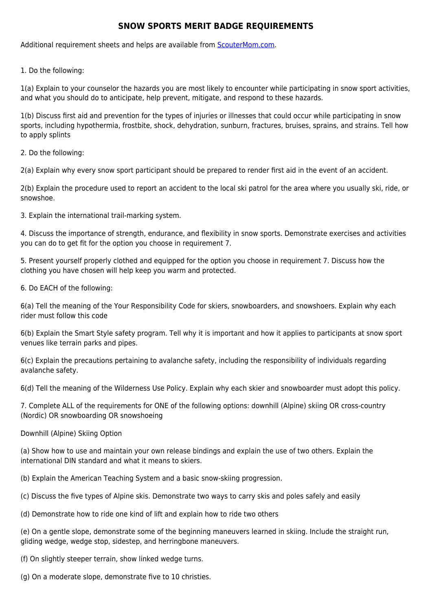## **SNOW SPORTS MERIT BADGE REQUIREMENTS**

Additional requirement sheets and helps are available from [ScouterMom.com](http://scoutermom.com).

1. Do the following:

1(a) Explain to your counselor the hazards you are most likely to encounter while participating in snow sport activities, and what you should do to anticipate, help prevent, mitigate, and respond to these hazards.

1(b) Discuss first aid and prevention for the types of injuries or illnesses that could occur while participating in snow sports, including hypothermia, frostbite, shock, dehydration, sunburn, fractures, bruises, sprains, and strains. Tell how to apply splints

2. Do the following:

2(a) Explain why every snow sport participant should be prepared to render first aid in the event of an accident.

2(b) Explain the procedure used to report an accident to the local ski patrol for the area where you usually ski, ride, or snowshoe.

3. Explain the international trail-marking system.

4. Discuss the importance of strength, endurance, and flexibility in snow sports. Demonstrate exercises and activities you can do to get fit for the option you choose in requirement 7.

5. Present yourself properly clothed and equipped for the option you choose in requirement 7. Discuss how the clothing you have chosen will help keep you warm and protected.

6. Do EACH of the following:

6(a) Tell the meaning of the Your Responsibility Code for skiers, snowboarders, and snowshoers. Explain why each rider must follow this code

6(b) Explain the Smart Style safety program. Tell why it is important and how it applies to participants at snow sport venues like terrain parks and pipes.

6(c) Explain the precautions pertaining to avalanche safety, including the responsibility of individuals regarding avalanche safety.

6(d) Tell the meaning of the Wilderness Use Policy. Explain why each skier and snowboarder must adopt this policy.

7. Complete ALL of the requirements for ONE of the following options: downhill (Alpine) skiing OR cross-country (Nordic) OR snowboarding OR snowshoeing

Downhill (Alpine) Skiing Option

(a) Show how to use and maintain your own release bindings and explain the use of two others. Explain the international DIN standard and what it means to skiers.

(b) Explain the American Teaching System and a basic snow-skiing progression.

(c) Discuss the five types of Alpine skis. Demonstrate two ways to carry skis and poles safely and easily

(d) Demonstrate how to ride one kind of lift and explain how to ride two others

(e) On a gentle slope, demonstrate some of the beginning maneuvers learned in skiing. Include the straight run, gliding wedge, wedge stop, sidestep, and herringbone maneuvers.

(f) On slightly steeper terrain, show linked wedge turns.

(g) On a moderate slope, demonstrate five to 10 christies.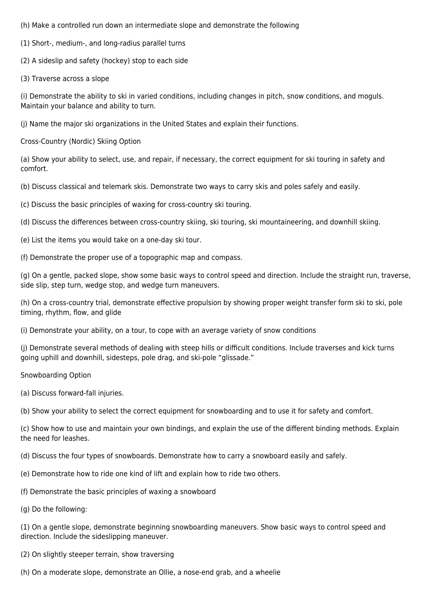(h) Make a controlled run down an intermediate slope and demonstrate the following

(1) Short-, medium-, and long-radius parallel turns

(2) A sideslip and safety (hockey) stop to each side

(3) Traverse across a slope

(i) Demonstrate the ability to ski in varied conditions, including changes in pitch, snow conditions, and moguls. Maintain your balance and ability to turn.

(j) Name the major ski organizations in the United States and explain their functions.

Cross-Country (Nordic) Skiing Option

(a) Show your ability to select, use, and repair, if necessary, the correct equipment for ski touring in safety and comfort.

(b) Discuss classical and telemark skis. Demonstrate two ways to carry skis and poles safely and easily.

(c) Discuss the basic principles of waxing for cross-country ski touring.

(d) Discuss the differences between cross-country skiing, ski touring, ski mountaineering, and downhill skiing.

- (e) List the items you would take on a one-day ski tour.
- (f) Demonstrate the proper use of a topographic map and compass.

(g) On a gentle, packed slope, show some basic ways to control speed and direction. Include the straight run, traverse, side slip, step turn, wedge stop, and wedge turn maneuvers.

(h) On a cross-country trial, demonstrate effective propulsion by showing proper weight transfer form ski to ski, pole timing, rhythm, flow, and glide

(i) Demonstrate your ability, on a tour, to cope with an average variety of snow conditions

(j) Demonstrate several methods of dealing with steep hills or difficult conditions. Include traverses and kick turns going uphill and downhill, sidesteps, pole drag, and ski-pole "glissade."

Snowboarding Option

(a) Discuss forward-fall injuries.

(b) Show your ability to select the correct equipment for snowboarding and to use it for safety and comfort.

(c) Show how to use and maintain your own bindings, and explain the use of the different binding methods. Explain the need for leashes.

(d) Discuss the four types of snowboards. Demonstrate how to carry a snowboard easily and safely.

(e) Demonstrate how to ride one kind of lift and explain how to ride two others.

- (f) Demonstrate the basic principles of waxing a snowboard
- (g) Do the following:

(1) On a gentle slope, demonstrate beginning snowboarding maneuvers. Show basic ways to control speed and direction. Include the sideslipping maneuver.

- (2) On slightly steeper terrain, show traversing
- (h) On a moderate slope, demonstrate an Ollie, a nose-end grab, and a wheelie